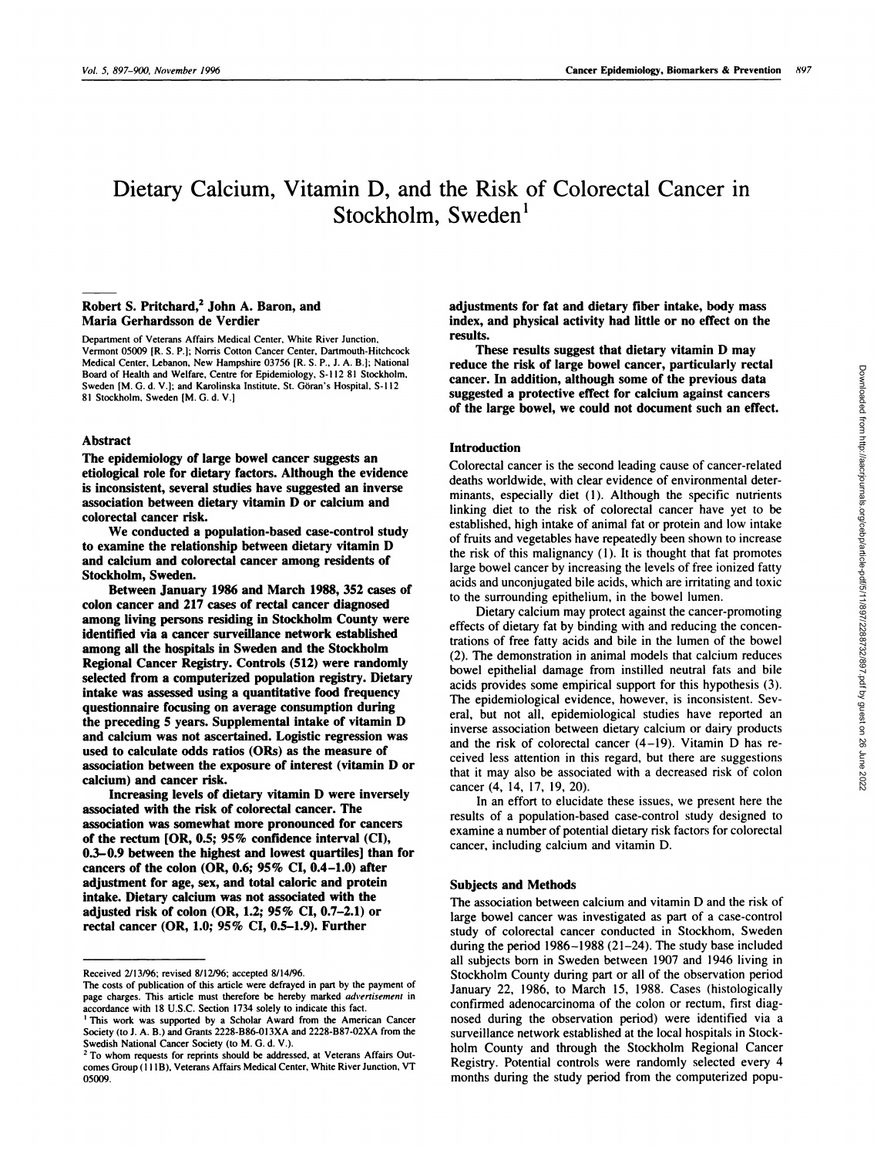# Dietary Calcium, Vitamin D, and the Risk of Colorectal Cancer in Stockholm, Sweden $<sup>1</sup>$ </sup>

## **Robert S. Pritchard,2 John A. Baron, and Maria Gerhardsson de Verdier**

Department of Veterans Affairs Medical Center, White River Junction, Vermont 05009 [R. **S. P.]; Norris Cotton Cancer Center, Dartmouth-Hitchcock** Medical Center, Lebanon, New Hampshire 03756 [R. S. P., J. A. B.l; National **Board of Health and Welfare, Centre for Epidemiology. 5-1 12 81 Stockholm,** Sweden [M. G. d. V.]; and Karolinska Institute, St. Göran's Hospital, S-112 81 Stockholm, Sweden [M. G. d. V.]

## **Abstract**

**The epidemiology of large bowel cancer suggests an** etiological **role for dietary factors. Although the evidence is inconsistent, several studies have suggested an inverse association between dietary** vitamin D **or calcium and** colorectal cancer risk.

**We conducted a population-based case-control study to examine the relationship between dietary vitamin D and** calcium **and colorectal cancer among residents of** Stockholm, Sweden.

Between January 1986 and March 1988, *352* cases **of colon cancer** and **217 cases of rectal cancer diagnosed** among living persons residing in **Stockholm County were** identified via a cancer surveillance network established among **all the hospitals in Sweden and the Stockholm** Regional **Cancer Registry. Controls** *(512)* **were randomly selected from a computerized population registry. Dietary** intake **was assessed using a quantitative** food **frequency** questionnaire focusing on average consumption during **the preceding** *<sup>5</sup>* **years. Supplemental intake of vitamin D and calcium was not ascertained. Logistic regression was used to calculate odds ratios (ORs) as the measure of** association **between the exposure of interest (vitamin D or** calcium) **and cancer risk.**

**Increasing levels of dietary vitamin D were inversely** associated **with the** risk **of colorectal cancer. The** association was somewhat more **pronounced for cancers of the rectum [OR,** *0.5; 95%* **confidence interval (CI), 0.3-0.9** between **the** highest **and lowest quartiles] than for cancers of the colon (OR, 0.6; 95% CI, 0.4-LO) after adjustment for age, sex, and total caloric and protein intake. Dietary** calcium **was not associated with the adjusted risk of colon (OR, 1.2;** *95%* **CI, 0.7-2.1) or rectal cancer (OR, 1.0;** *95%* **CI,** *0.5-1.9).* Further

adjustments for fat and dietary fiber intake, body **mass index, and physical activity had little or no effect on the** results.

**These results suggest that dietary vitamin D may reduce the risk of large bowel cancer, particularly rectal cancer. In addition, although some of the previous data suggested a protective effect for calcium against cancers of the large bowel, we could not document such an effect.**

### **Introduction**

Colorectal cancer is the second leading cause of cancer-related deaths worldwide, with clear evidence of environmental determinants, especially diet (I). Although the specific nutrients linking diet to the risk of colorectal cancer have yet to be established, high intake of animal fat or protein and low intake of fruits and vegetables have repeatedly been shown to increase the risk of this malignancy (I). It is thought that fat promotes large bowel cancer by increasing the levels of free ionized fatty acids and unconjugated bile acids, which are irritating and toxic to the surrounding epithelium, in the bowel lumen.

Dietary calcium may protect against the cancer-promoting effects of dietary fat by binding with and reducing the concentrations of free fatty acids and bile in the lumen of the bowel (2). The demonstration in animal models that calcium reduces bowel epithelial damage from instilled neutral fats and bile acids provides some empirical support for this hypothesis (3). The epidemiological evidence, however, is inconsistent. 5evera], but not all, epidemiological studies have reported an inverse association between dietary calcium or dairy products and the risk of colorectal cancer (4-19). Vitamin D has re ceived less attention in this regard, but there are suggestions that it may also be associated with a decreased risk of colon cancer (4, 14, 17, 19, 20).

In an effort to elucidate these issues, we present here the results of a population-based case-control study designed to examine a number of potential dietary risk factors for colorectal cancer, including calcium and vitamin D.

#### Subjects and **Methods**

The association between calcium and vitamin D and the risk of large bowel cancer was investigated as part of a case-control study of colorectal cancer conducted in Stockhom, Sweden during the period 1986-1988 (21-24). The study base included all subjects born in Sweden between 1907 and 1946 living in Stockholm County during part or all of the observation period January 22, 1986, to March 15, 1988. Cases (histologically confirmed adenocarcinoma of the colon or rectum, first diagnosed during the observation period) were identified via a surveillance network established at the local hospitals in Stockholm County and through the Stockholm Regional Cancer Registry. Potential controls were randomly selected every 4 months during the study period from the computerized popu-

Received 2/13/96; revised 8/12/96; accepted 8/14/96.

The costs of publication of this article were defrayed in part by the payment of page charges. This article must therefore be hereby marked *advertisement* in accordance with 18 **U.S.C. Section 1734 solely to indicate this fact.**

**I** This work was supported by a Scholar Award from the American Cancer Society (to J. A. B.) and Grants 2228-B86-O13XA and 2228-B87-O2XA from the Swedish National Cancer Society (to M.G. d. V.). **<sup>2</sup>** To whom requests for reprints should be addressed, at Veterans Affairs Out-

comes Group (1 1 1B), Veterans Affairs Medical Center, White River Junction, VT 05009.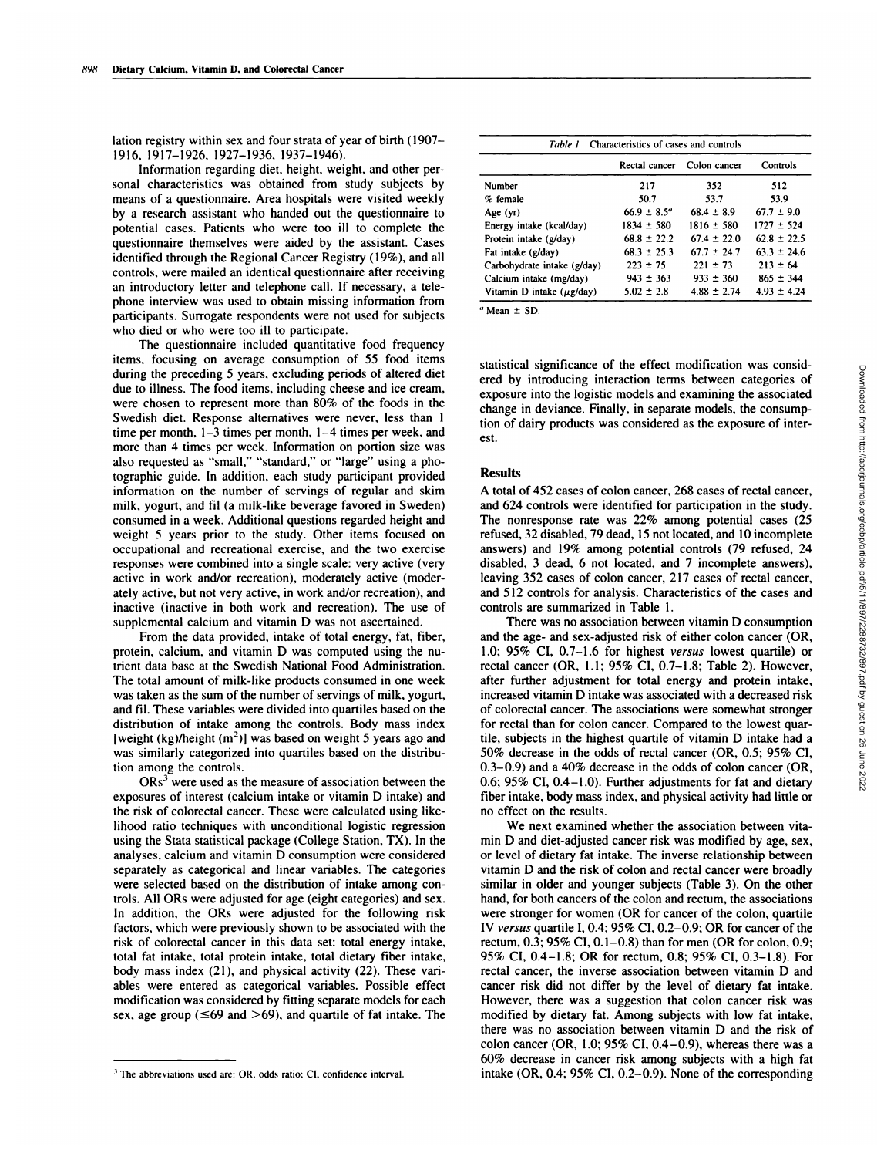lation registry within sex and four strata of year of birth (1907- 1916, 1917-1926, 1927-1936, 1937-1946).

Information regarding diet, height, weight, and other personal characteristics was obtained from study subjects by means of a questionnaire. Area hospitals were visited weekly by a research assistant who handed out the questionnaire to potential cases. Patients who were too ill to complete the questionnaire themselves were aided by the assistant. Cases identified through the Regional Car.cer Registry (19%), and all controls, were mailed an identical questionnaire after receiving an introductory letter and telephone call. If necessary, a telephone interview was used to obtain missing information from participants. Surrogate respondents were not used for subjects who died or who were too ill to participate.

The questionnaire included quantitative food frequency items, focusing on average consumption of 55 food items during the preceding S years, excluding periods of altered diet due to illness. The food items, including cheese and ice cream, were chosen to represent more than 80% of the foods in the Swedish diet. Response alternatives were never, less than 1 time per month, 1-3 times per month, 1-4 times per week, and more than 4 times per week. Information on portion size was also requested as "small," "standard," or "large" using a photographic guide. In addition, each study participant provided information on the number of servings of regular and skim milk, yogurt, and fil (a milk-like beverage favored in Sweden) consumed in a week. Additional questions regarded height and weight 5 years prior to the study. Other items focused on occupational and recreational exercise, and the two exercise responses were combined into a single scale: very active (very active in work and/or recreation), moderately active (moderately active, but not very active, in work and/or recreation), and inactive (inactive in both work and recreation). The use of supplemental calcium and vitamin D was not ascertained.

From the data provided, intake of total energy, fat, fiber, protein, calcium, and vitamin D was computed using the nutrient data base at the Swedish National Food Administration. The total amount of milk-like products consumed in one week was taken as the sum of the number of servings of milk, yogurt, and fil.These variables were divided into quartiles based on the distribution of intake among the controls. Body mass index [weight (kg)/height  $(m<sup>2</sup>)$ ] was based on weight 5 years ago and was similarly categorized into quartiles based on the distribution among the controls.

 $ORs<sup>3</sup>$  were used as the measure of association between the exposures of interest (calcium intake or vitamin D intake) and the risk of colorectal cancer. These were calculated using likelihood ratio techniques with unconditional logistic regression using the Stata statistical package (College Station, TX). In the analyses, calcium and vitamin D consumption were considered separately as categorical and linear variables. The categories were selected based on the distribution of intake among controls. All ORs were adjusted for age (eight categories) and sex. In addition, the ORs were adjusted for the following risk factors, which were previously shown to be associated with the risk of colorectal cancer in this data set: total energy intake, total fat intake, total protein intake, total dietary fiber intake, body mass index (21), and physical activity (22). These van ables were entered as categorical variables. Possible effect modification was considered by fitting separate models for each sex, age group ( $\leq 69$  and  $> 69$ ), and quartile of fat intake. The

| <sup>3</sup> The abbreviations used are: OR, odds ratio; CI, confidence interval. |  |  |  |  |  |
|-----------------------------------------------------------------------------------|--|--|--|--|--|
|-----------------------------------------------------------------------------------|--|--|--|--|--|

| Characteristics of cases and controls<br>Table 1 |                        |                 |                 |  |  |  |
|--------------------------------------------------|------------------------|-----------------|-----------------|--|--|--|
|                                                  | Rectal cancer          | Colon cancer    | Controls        |  |  |  |
| Number                                           | 217                    | 352             | 512             |  |  |  |
| % female                                         | 50.7                   | 53.7            | 53.9            |  |  |  |
| Age (yr)                                         | $66.9 \pm 8.5^{\circ}$ | $68.4 \pm 8.9$  | $67.7 \pm 9.0$  |  |  |  |
| Energy intake (kcal/day)                         | $1834 \pm 580$         | $1816 \pm 580$  | $1727 \pm 524$  |  |  |  |
| Protein intake (g/day)                           | $68.8 \pm 22.2$        | $67.4 \pm 22.0$ | $62.8 \pm 22.5$ |  |  |  |
| Fat intake (g/day)                               | $68.3 \pm 25.3$        | $67.7 \pm 24.7$ | $63.3 \pm 24.6$ |  |  |  |
| Carbohydrate intake (g/day)                      | $223 \pm 75$           | $221 \pm 73$    | $213 \pm 64$    |  |  |  |
| Calcium intake (mg/day)                          | $943 \pm 363$          | $933 \pm 360$   | $865 \pm 344$   |  |  |  |
| Vitamin D intake $(\mu g / day)$                 | $5.02 \pm 2.8$         | $4.88 \pm 2.74$ | $4.93 \pm 4.24$ |  |  |  |

**<sup>a</sup>** Mean *±* **SD.**

statistical significance of the effect modification was considered by introducing interaction terms between categories of exposure into the logistic models and examining the associated change in deviance. Finally, in separate models, the consumption of dairy products was considered as the exposure of inter est.

## **Results**

A total of 452 cases of colon cancer, 268 cases of rectal cancer, and 624 controls were identified for participation in the study. The nonresponse rate was 22% among potential cases (25 refused, 32 disabled, 79 dead, 15 not located, and 10 incomplete answers) and 19% among potential controls (79 refused, 24 disabled, 3 dead, 6 not located, and 7 incomplete answers), leaving 352 cases of colon cancer, 217 cases of rectal cancer, and 5 12 controls for analysis. Characteristics of the cases and controls are summarized in Table 1.

There was no association between vitamin D consumption and the age- and sex-adjusted risk of either colon cancer (OR, 1.0; 95% CI, 0.7-1.6 for highest *versus* lowest quartile) or rectal cancer (OR, 1.1; 95% CI, 0.7-1.8; Table 2). However, after further adjustment for total energy and protein intake, increased vitamin D intake was associated with a decreased risk of colorectal cancer. The associations were somewhat stronger for rectal than for colon cancer. Compared to the lowest quartile, subjects in the highest quartile of vitamin D intake had a 50% decrease in the odds of rectal cancer (OR, *0.5;* 95% CI, 0.3-0.9) and a 40% decrease in the odds of colon cancer (OR, 0.6; *95%* **CI, 0.4-1.0).** Further adjustments for fat and dietary fiber intake, body mass index, and physical activity had little or no effect on the results.

We next examined whether the association between vita min D and diet-adjusted cancer risk was modified by age, sex, or level of dietary fat intake. The inverse relationship between vitamin D and the risk of colon and rectal cancer were broadly similar in older and younger subjects (Table 3). On the other hand, for both cancers of the colon and rectum, the associations were stronger for women (OR for cancer of the colon, quartile IV *versus* quartile I, 0.4; *95%* CI, 0.2-0.9; OR for cancer of the rectum, 0.3; *95%* CI, 0.1-0.8) than for men (OR for colon, 0.9; 95% CI, 0.4-1.8; OR for rectum, 0.8; *95%* CI, 0.3-1.8). For rectal cancer, the inverse association between vitamin D and cancer risk did not differ by the level of dietary fat intake. However, there was a suggestion that colon cancer risk was modified by dietary fat. Among subjects with low fat intake, there was no association between vitamin D and the risk of colon cancer (OR, 1.0; 95% CI,  $0.4-0.9$ ), whereas there was a 60% decrease in cancer risk among subjects with a high fat intake (OR, 0.4; 95% CI, 0.2-0.9). None of the corresponding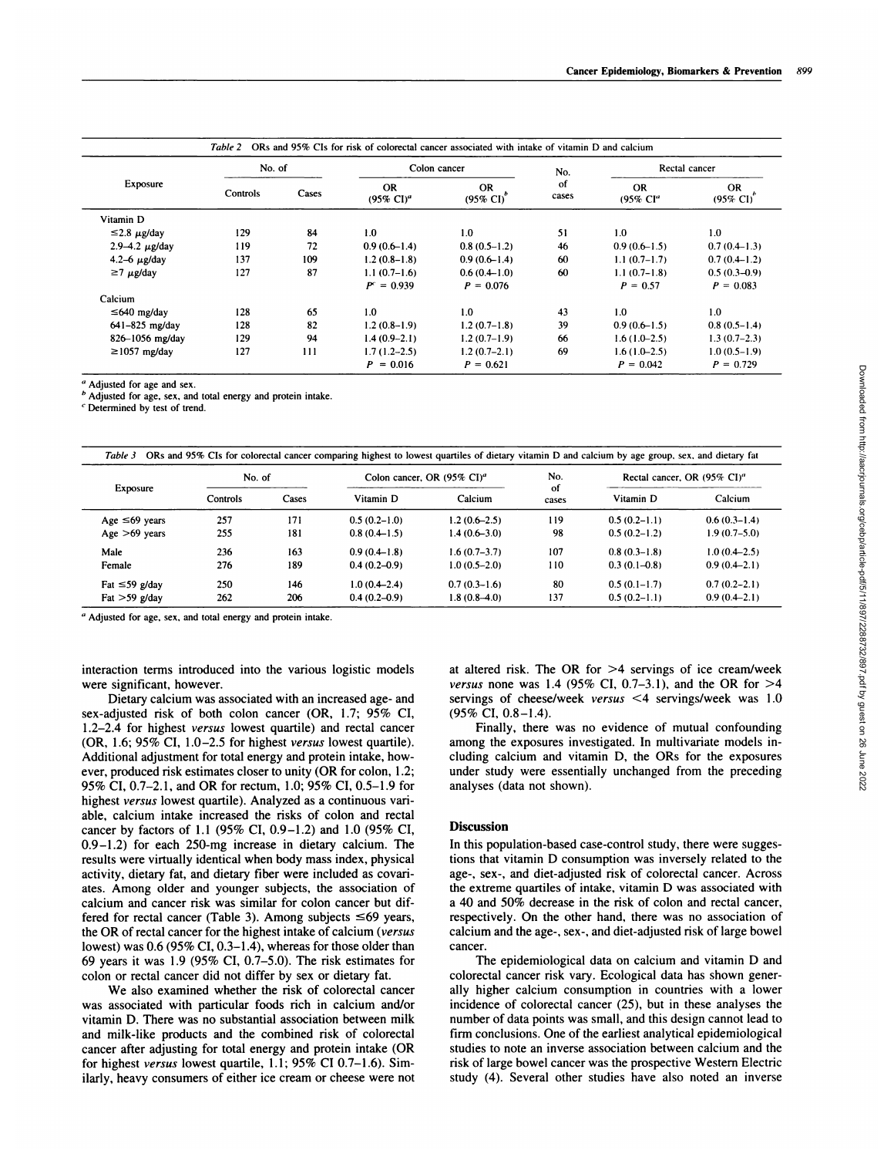|                        | No. of   |       | Colon cancer                       |                              | No.         | Rectal cancer                     |                           |
|------------------------|----------|-------|------------------------------------|------------------------------|-------------|-----------------------------------|---------------------------|
| Exposure               | Controls | Cases | <b>OR</b><br>$(95\% \text{ Cl})^a$ | OR.<br>$(95\% \text{ CI})^2$ | of<br>cases | <b>OR</b><br>(95% Cl <sup>a</sup> | OR<br>$(95\% \text{ CI})$ |
| Vitamin D              |          |       |                                    |                              |             |                                   |                           |
| $\leq$ 2.8 $\mu$ g/day | 129      | 84    | 1.0                                | 1.0                          | 51          | 1.0                               | 1.0                       |
| 2.9–4.2 $\mu$ g/day    | 119      | 72    | $0.9(0.6-1.4)$                     | $0.8(0.5-1.2)$               | 46          | $0.9(0.6-1.5)$                    | $0.7(0.4-1.3)$            |
| 4.2-6 $\mu$ g/day      | 137      | 109   | $1.2(0.8-1.8)$                     | $0.9(0.6-1.4)$               | 60          | $1.1(0.7-1.7)$                    | $0.7(0.4-1.2)$            |
| $\geq$ 7 µg/day        | 127      | 87    | $1.1(0.7-1.6)$                     | $0.6(0.4-1.0)$               | 60          | $1.1(0.7-1.8)$                    | $0.5(0.3-0.9)$            |
|                        |          |       | $P^c = 0.939$                      | $P = 0.076$                  |             | $P = 0.57$                        | $P = 0.083$               |
| Calcium                |          |       |                                    |                              |             |                                   |                           |
| $\leq 640$ mg/day      | 128      | 65    | 1.0                                | 1.0                          | 43          | 1.0                               | 1.0                       |
| $641 - 825$ mg/day     | 128      | 82    | $1.2(0.8-1.9)$                     | $1.2(0.7-1.8)$               | 39          | $0.9(0.6-1.5)$                    | $0.8(0.5-1.4)$            |
| 826-1056 mg/day        | 129      | 94    | $1.4(0.9-2.1)$                     | $1.2(0.7-1.9)$               | 66          | $1.6(1.0-2.5)$                    | $1.3(0.7-2.3)$            |
| $\geq$ 1057 mg/day     | 127      | 111   | $1.7(1.2-2.5)$                     | $1.2(0.7-2.1)$               | 69          | $1.6(1.0-2.5)$                    | $1.0(0.5-1.9)$            |
|                        |          |       | $P = 0.016$                        | $P = 0.621$                  |             | $P = 0.042$                       | $P = 0.729$               |

**a** Adjusted for age and sex.

**<sup>b</sup>** Adjusted for age, sex, and total energy and protein intake.

<sup>c</sup> Determined by test of trend.

| Exposure            | No. of   |       | Colon cancer, OR $(95\% \text{ CI})^d$ |                | No.         | Rectal cancer, OR (95% CI) <sup>a</sup> |                |
|---------------------|----------|-------|----------------------------------------|----------------|-------------|-----------------------------------------|----------------|
|                     | Controls | Cases | Vitamin D                              | Calcium        | of<br>cases | Vitamin D                               | Calcium        |
| Age $\leq 69$ years | 257      | 171   | $0.5(0.2-1.0)$                         | $1.2(0.6-2.5)$ | 119         | $0.5(0.2-1.1)$                          | $0.6(0.3-1.4)$ |
| Age $>69$ years     | 255      | 181   | $0.8(0.4-1.5)$                         | $1.4(0.6-3.0)$ | 98          | $0.5(0.2-1.2)$                          | $1.9(0.7-5.0)$ |
| Male                | 236      | 163   | $0.9(0.4-1.8)$                         | $1.6(0.7-3.7)$ | 107         | $0.8(0.3-1.8)$                          | $1.0(0.4-2.5)$ |
| Female              | 276      | 189   | $0.4(0.2-0.9)$                         | $1.0(0.5-2.0)$ | 110         | $0.3(0.1-0.8)$                          | $0.9(0.4-2.1)$ |
| Fat $\leq 59$ g/day | 250      | 146   | $1.0(0.4 - 2.4)$                       | $0.7(0.3-1.6)$ | 80          | $0.5(0.1-1.7)$                          | $0.7(0.2-2.1)$ |
| Fat $>59$ g/day     | 262      | 206   | $0.4(0.2-0.9)$                         | $1.8(0.8-4.0)$ | 137         | $0.5(0.2-1.1)$                          | $0.9(0.4-2.1)$ |

**<sup>a</sup>** Adjusted for age, sex, and total energy and protein intake.

interaction terms introduced into the various logistic models were significant, however.

Dietary calcium was associated with an increased age- and sex-adjusted risk of both colon cancer (OR, 1.7; 95% CI, 1 .2-2.4 for highest *versus* lowest quartile) and rectal cancer (OR, 1.6; 95% CI, 1.0-2.5 for highest *versus* lowest quartile). Additional adjustment for total energy and protein intake, how ever, produced risk estimates closer to unity (OR for colon, 1.2; 95% CI, 0.7-2.1, and OR for rectum, 1.0; 95% CI, 0.5-1.9 for highest *versus* lowest quartile). Analyzed as a continuous van able, calcium intake increased the risks of colon and rectal cancer by factors of 1.1 (95% CI, 0.9-1.2) and 1.0 (95% CI, 0.9-1.2) for each 250-mg increase in dietary calcium. The results were virtually identical when body mass index, physical activity, dietary fat, and dietary fiber were included as covari ates. Among older and younger subjects, the association of calcium and cancer risk was similar for colon cancer but differed for rectal cancer (Table 3). Among subjects  $\leq 69$  years, the OR of rectal cancer for the highest intake of calcium *(versus* lowest) was 0.6 (95% CI, 0.3-1.4), whereas for those older than 69 years it was 1 .9 (95% CI, *0.7-5.0).* The risk estimates for colon or rectal cancer did not differ by sex or dietary fat.

We also examined whether the risk of colorectal cancer was associated with particular foods rich in calcium and/or vitamin D. There was no substantial association between milk and milk-like products and the combined risk of colorectal cancer after adjusting for total energy and protein intake (OR for highest *versus* lowest quartile, 1.1; 95% CI 0.7-1.6). Similarly, heavy consumers of either ice cream or cheese were not at altered risk. The OR for  $>4$  servings of ice cream/week *versus* none was 1.4 (95% CI, 0.7-3.1), and the OR for >4 servings of cheese/week *versus* <4 servings/week was 1.0 (95% CI, 0.8-1.4).

Finally, there was no evidence of mutual confounding among the exposures investigated. In multivariate models including calcium and vitamin D, the ORs for the exposures under study were essentially unchanged from the preceding analyses (data not shown).

## **Discussion**

In this population-based case-control study, there were suggestions that vitamin D consumption was inversely related to the age-, sex-, and diet-adjusted risk of colorectal cancer. Across the extreme quartiles of intake, vitamin D was associated with a 40 and 50% decrease in the risk of colon and rectal cancer, respectively. On the other hand, there was no association of calcium and the age-, sex-, and diet-adjusted risk of large bowel cancer.

The epidemiological data on calcium and vitamin D and colorectal cancer risk vary. Ecological data has shown generally higher calcium consumption in countries with a lower incidence of colorectal cancer (25), but in these analyses the number of data points was small, and this design cannot lead to firm conclusions. One of the earliest analytical epidemiological studies to note an inverse association between calcium and the risk of large bowel cancer was the prospective Western Electric study (4). Several other studies have also noted an inverse